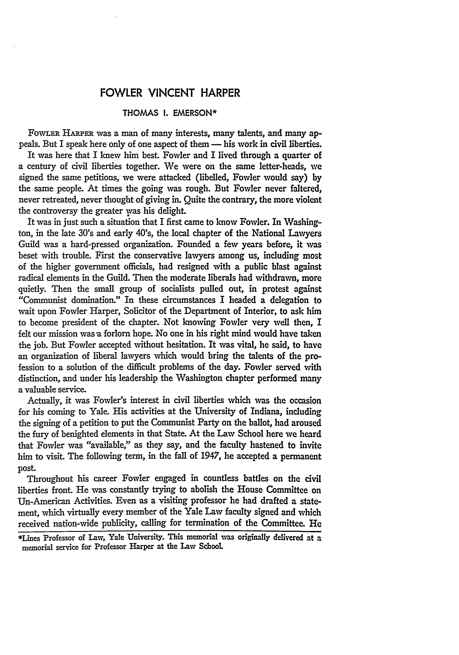## FOWLER **VINCENT** HARPER

## **THOMAS I. EMERSON\***

FOWLER HARPER was a man of many interests, many talents, and many appeals. But I speak here only of one aspect of them - his work in civil liberties. It was here that I knew him best. Fowler and I lived through a quarter of a century of civil liberties together. We were on the same letter-heads, we signed the same petitions, we were attacked (libelled, Fowler would say) by the same people. At times the going was rough. But Fowler never faltered, never retreated, never thought of giving in. Quite the contrary, the more violent the controversy the greater was his delight.

It was in just such a situation that I first came to know Fowler. In Washington, in the late 30's and early 40's, the local chapter of the National Lawyers Guild was a hard-pressed organization. Founded a few years before, it was beset with trouble. First the conservative lawyers among us, including most of the higher government *officials,* had resigned with a public blast against radical elements in the Guild. Then the moderate liberals had withdrawn, more quietly. Then the small group of socialists pulled out, in protest against "Communist domination." In these circumstances I headed a delegation to wait upon Fowler Harper, Solicitor of the Department of Interior, to ask him to become president of the chapter. Not knowing Fowler very well then, I felt our mission was a forlorn hope. No one in his right mind would have taken the job. But Fowler accepted without hesitation. It was vital, he said, to have an organization of liberal lawyers which would bring the talents of the profession to a solution of the difficult problems of the day. Fowler served with distinction, and under his leadership the Washington chapter performed many a valuable service.

Actually, it was Fowler's interest in civil liberties which was the occasion for his coming to Yale. His activities at the University of Indiana, including the signing of a petition to put the Communist Party on the ballot, had aroused the fury of benighted elements in that State. At the Law School here we heard that Fowler was "available," as they say, and the faculty hastened to invite him to visit. The following term, in the fall of 1947, he accepted a permanent post.

Throughout his career Fowler engaged in countless battles on the civil liberties front. He was constantly trying to abolish the House Committee on Un-American Activities. Even as a visiting professor he had drafted a statement, which virtually every member of the Yale **Law** faculty signed and which received nation-wide publicity, calling for termination of the Committee. He

**<sup>\*</sup>Lines** Professor of **Law,** Yale University. This memorial was originally delivered at a memorial service for Professor Iarper at the Law School.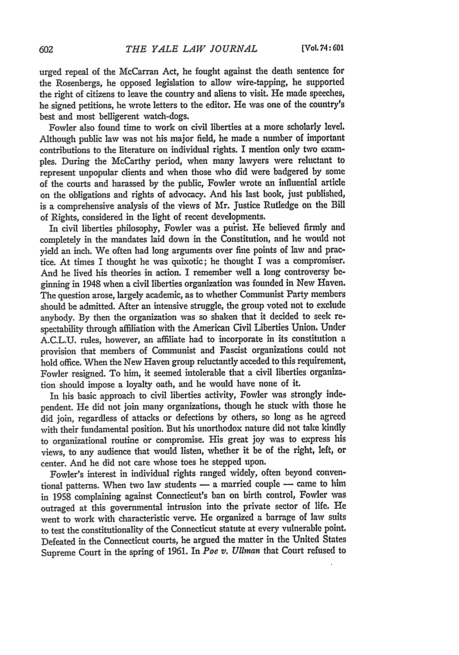urged repeal of the McCarran Act, he fought against the death sentence for the Rosenbergs, he opposed legislation to allow wire-tapping, he supported the right of citizens to leave the country and aliens to visit. He made speeches, he signed petitions, he wrote letters to the editor. He was one of the country's best and most belligerent watch-dogs.

Fowler also found time to work on civil liberties at a more scholarly level. Although public law was not his major field, he made a number of important contributions to the literature on individual rights. I mention only two examples. During the McCarthy period, when many lawyers were reluctant to represent unpopular clients and when those who did were badgered **by** some of the courts and harassed **by** the public, Fowler wrote an influential article on the obligations and rights of advocacy. And his last book, just published, is a comprehensive analysis of the views of Mr. Justice Rutledge on the Bill of Rights, considered in the light of recent developments.

In civil liberties philosophy, Fowler was a pu'rist. He believed firmly and completely in the mandates laid down in the Constitution, and he would not yield an inch. We often had long arguments over fine points of law and practice. At times I thought he was quixotic; he thought I was a compromiser. And he lived his theories in action. I remember well a long controversy beginning in 1948 when a civil liberties organization was founded in New Haven. The question arose, largely academic, as to whether Communist Party members should be admitted. After an intensive struggle, the group voted not to exclude anybody. **By** then the organization was so shaken that it decided to seek respectability through affiliation with the American Civil Liberties Union. Under **A.C.L.U.** rules, however, an affiliate had to incorporate in its constitution a provision that members of Communist and Fascist organizations could not hold office. When the New Haven group reluctantly acceded to this requirement, Fowler resigned. To him, it seemed intolerable that a civil liberties organization should impose a loyalty oath, and he would have none of it.

In his basic approach to civil liberties activity, Fowler was strongly independent. He did not join many organizations, though he stuck with those **he** did join, regardless of attacks or defections **by** others, so long as **he** agreed with their fundamental position. **But** his unorthodox nature did not take **kindly** to organizational routine or compromise. His great **joy** was to express his views, to any audience that would listen, whether it be of the right, left, or center. And he did not care whose toes he stepped upon.

Fowler's interest in individual rights ranged widely, often beyond conventional patterns. When two law students - a married couple - came to him in **1958** complaining against Connecticut's ban on birth control, Fowler was outraged at this governmental intrusion into the private sector of **life. He** went to work with characteristic verve. He organized a barrage of law suits to test the constitutionality of the Connecticut statute at every vulnerable point. Defeated in the Connecticut courts, he argued the matter in the United States Supreme Court in the spring of **1961.** In *Poe v. Ullman* that Court refused to